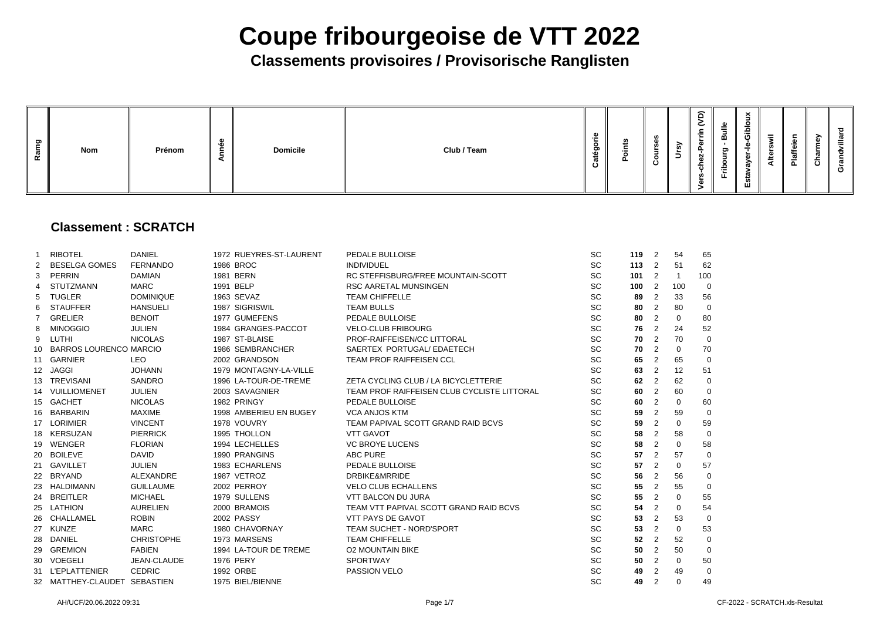### **Classements provisoires / Provisorische Ranglisten**

| ರಾ<br>œ | <b>Nom</b> | Prénom | ►<br>$\sim$ | <b>Domicile</b> | Club / Team | o<br>$\mathbf{m}$ | m |  | ົດ<br>≒ | $\hat{=}$<br>-<br>$\tilde{\phantom{a}}$<br>$\sim$<br>н.<br>Ñ<br>৳ | യ<br>=<br>$\rightarrow$<br>മ<br>ರಾ<br>o<br>음<br>►. | $\times$<br>$\overline{\phantom{a}}$<br><u>م</u><br>$\boldsymbol{\sigma}$<br>><br>ш | $=$<br>-23<br>◀ | .≌<br>ີ<br>$\boldsymbol{\varpi}$<br>Ë. | Ō | 73<br>ᠭᠣ<br>w<br>ඏ |
|---------|------------|--------|-------------|-----------------|-------------|-------------------|---|--|---------|-------------------------------------------------------------------|----------------------------------------------------|-------------------------------------------------------------------------------------|-----------------|----------------------------------------|---|--------------------|
|---------|------------|--------|-------------|-----------------|-------------|-------------------|---|--|---------|-------------------------------------------------------------------|----------------------------------------------------|-------------------------------------------------------------------------------------|-----------------|----------------------------------------|---|--------------------|

### **Classement : SCRATCH**

|                       | <b>RIBOTEL</b>                | <b>DANIEL</b>     | 1972 RUEYRES-ST-LAURENT | PEDALE BULLOISE                             | <b>SC</b> | $119$ 2 |                | 54             | 65              |
|-----------------------|-------------------------------|-------------------|-------------------------|---------------------------------------------|-----------|---------|----------------|----------------|-----------------|
| $\mathbf{2}^{\prime}$ | <b>BESELGA GOMES</b>          | <b>FERNANDO</b>   | 1986 BROC               | <b>INDIVIDUEL</b>                           | <b>SC</b> | 113     | $\overline{2}$ | 51             | 62              |
| 3                     | PERRIN                        | <b>DAMIAN</b>     | 1981 BERN               | RC STEFFISBURG/FREE MOUNTAIN-SCOTT          | <b>SC</b> | 101     | $\overline{2}$ | $\mathbf{1}$   | 10 <sub>C</sub> |
| 4                     | <b>STUTZMANN</b>              | MARC              | 1991 BELP               | <b>RSC AARETAL MUNSINGEN</b>                | <b>SC</b> | 100     | $\overline{2}$ | 100            | C               |
| 5                     | <b>TUGLER</b>                 | <b>DOMINIQUE</b>  | 1963 SEVAZ              | <b>TEAM CHIFFELLE</b>                       | <b>SC</b> | 89      | $\overline{2}$ | 33             | 56              |
| 6                     | <b>STAUFFER</b>               | <b>HANSUELI</b>   | 1987 SIGRISWIL          | <b>TEAM BULLS</b>                           | <b>SC</b> | 80      | 2              | 80             |                 |
|                       | <b>GRELIER</b>                | <b>BENOIT</b>     | 1977 GUMEFENS           | PEDALE BULLOISE                             | <b>SC</b> | 80      | $\overline{2}$ | $\overline{0}$ | 80              |
| 8                     | <b>MINOGGIO</b>               | <b>JULIEN</b>     | 1984 GRANGES-PACCOT     | <b>VELO-CLUB FRIBOURG</b>                   | <b>SC</b> | 76      | $\overline{2}$ | 24             | 52              |
| 9                     | LUTHI                         | <b>NICOLAS</b>    | 1987 ST-BLAISE          | PROF-RAIFFEISEN/CC LITTORAL                 | <b>SC</b> | 70      | 2              | 70             | $\mathsf{C}$    |
| 10                    | <b>BARROS LOURENCO MARCIO</b> |                   | 1986 SEMBRANCHER        | SAERTEX PORTUGAL/ EDAETECH                  | <b>SC</b> | 70      | 2              | $\overline{0}$ | 70              |
|                       | 11 GARNIER                    | <b>LEO</b>        | 2002 GRANDSON           | <b>TEAM PROF RAIFFEISEN CCL</b>             | <b>SC</b> | 65      | 2              | 65             |                 |
|                       | 12 JAGGI                      | <b>JOHANN</b>     | 1979 MONTAGNY-LA-VILLE  |                                             | <b>SC</b> | 63      | 2              | 12             | 51              |
| 13 <sup>2</sup>       | TREVISANI                     | <b>SANDRO</b>     | 1996 LA-TOUR-DE-TREME   | ZETA CYCLING CLUB / LA BICYCLETTERIE        | <b>SC</b> | 62      | 2              | 62             | $\mathsf{C}$    |
|                       | 14 VUILLIOMENET               | <b>JULIEN</b>     | 2003 SAVAGNIER          | TEAM PROF RAIFFEISEN CLUB CYCLISTE LITTORAL | <b>SC</b> | 60      | $\overline{2}$ | 60             |                 |
|                       | 15 GACHET                     | <b>NICOLAS</b>    | 1982 PRINGY             | PEDALE BULLOISE                             | <b>SC</b> | 60      | 2              | $\overline{0}$ | <b>60</b>       |
| 16                    | BARBARIN                      | <b>MAXIME</b>     | 1998 AMBERIEU EN BUGEY  | <b>VCA ANJOS KTM</b>                        | SC        | 59      | $\overline{2}$ | 59             |                 |
|                       | 17 LORIMIER                   | <b>VINCENT</b>    | 1978 VOUVRY             | TEAM PAPIVAL SCOTT GRAND RAID BCVS          | <b>SC</b> | 59      | 2              | $\overline{0}$ | <b>59</b>       |
|                       | 18 KERSUZAN                   | <b>PIERRICK</b>   | 1995 THOLLON            | <b>VTT GAVOT</b>                            | <b>SC</b> | 58      | $\overline{2}$ | 58             |                 |
|                       | 19 WENGER                     | <b>FLORIAN</b>    | 1994 LECHELLES          | <b>VC BROYE LUCENS</b>                      | <b>SC</b> | 58      | 2              | $\overline{0}$ | 58              |
| 20                    | <b>BOILEVE</b>                | <b>DAVID</b>      | 1990 PRANGINS           | <b>ABC PURE</b>                             | <b>SC</b> | 57      | 2              | 57             |                 |
|                       | 21 GAVILLET                   | <b>JULIEN</b>     | 1983 ECHARLENS          | PEDALE BULLOISE                             | <b>SC</b> | 57      | 2              | $\overline{0}$ | 57              |
|                       | 22 BRYAND                     | <b>ALEXANDRE</b>  | 1987 VETROZ             | <b>DRBIKE&amp;MRRIDE</b>                    | <b>SC</b> | 56      | 2              | 56             | $\mathsf{C}$    |
| 23                    | HALDIMANN                     | <b>GUILLAUME</b>  | 2002 PERROY             | <b>VELO CLUB ECHALLENS</b>                  | <b>SC</b> | 55      | 2              | 55             |                 |
|                       | 24 BREITLER                   | <b>MICHAEL</b>    | 1979 SULLENS            | <b>VTT BALCON DU JURA</b>                   | <b>SC</b> | 55      | 2              | $\overline{0}$ | 55              |
|                       | 25 LATHION                    | <b>AURELIEN</b>   | 2000 BRAMOIS            | TEAM VTT PAPIVAL SCOTT GRAND RAID BCVS      | <b>SC</b> | 54      | 2              | $\overline{0}$ | 54              |
| 26                    | <b>CHALLAMEL</b>              | <b>ROBIN</b>      | 2002 PASSY              | VTT PAYS DE GAVOT                           | <b>SC</b> | 53      | 2              | 53             |                 |
| 27                    | <b>KUNZE</b>                  | <b>MARC</b>       | 1980 CHAVORNAY          | <b>TEAM SUCHET - NORD'SPORT</b>             | <b>SC</b> | 53      | $\overline{2}$ | $\overline{0}$ | 53              |
| 28                    | <b>DANIEL</b>                 | <b>CHRISTOPHE</b> | 1973 MARSENS            | <b>TEAM CHIFFELLE</b>                       | <b>SC</b> | 52      | 2              | 52             | $\mathsf{C}$    |
| 29                    | <b>GREMION</b>                | <b>FABIEN</b>     | 1994 LA-TOUR DE TREME   | <b>O2 MOUNTAIN BIKE</b>                     | SC        | 50      | $\overline{2}$ | 50             |                 |
|                       | 30 VOEGELI                    | JEAN-CLAUDE       | <b>1976 PERY</b>        | <b>SPORTWAY</b>                             | <b>SC</b> | 50      | 2              | $\mathbf 0$    | <b>50</b>       |
|                       | 31 L'EPLATTENIER              | <b>CEDRIC</b>     | 1992 ORBE               | PASSION VELO                                | <b>SC</b> | 49      | 2              | 49             |                 |
|                       | 32 MATTHEY-CLAUDET SEBASTIEN  |                   | 1975 BIEL/BIENNE        |                                             | <b>SC</b> | 49      | $\overline{2}$ | $\Omega$       | 49              |
|                       |                               |                   |                         |                                             |           |         |                |                |                 |

| 119      | $\overline{\mathbf{c}}$                    | 54             | 65             |
|----------|--------------------------------------------|----------------|----------------|
| 113      | $\overline{\mathbf{c}}$                    | 51             | 62             |
| 101      | $\overline{\mathbf{c}}$                    | 1              | 100            |
| 100      | $\overline{\mathbf{c}}$                    | 100            | 0              |
| 89       | $\overline{\mathbf{c}}$                    | 33             | 56             |
| 80       | $\overline{\mathbf{c}}$                    | 80             | $\mathbf{0}$   |
| 80       | $\overline{\mathbf{c}}$                    | 0              | 80             |
|          | $\overline{\mathbf{c}}$                    | 24             | 52             |
| 76<br>70 | $\frac{2}{2}$                              | 70             | $\mathbf{0}$   |
| 70       |                                            | $\mathbf 0$    | 70             |
| 65       | $\overline{c}$                             | 65             | $\mathbf{0}$   |
| 63       | $\overline{\mathbf{c}}$                    | 12             | 51             |
| 62       | $\overline{\mathbf{c}}$                    | 62             | $\mathbf{0}$   |
| 60       | $\overline{\mathbf{c}}$                    | 60             | $\mathbf{0}$   |
| 60       | $\overline{c}$                             | $\pmb{0}$      | 60             |
| 59       | $\overline{c}$                             | 59             | 0              |
| 59       | $\overline{\mathbf{c}}$                    | 0              | 59             |
| 58       | $\overline{c}$                             | 58             | $\mathbf 0$    |
| 58       | $\overline{\mathbf{c}}$                    | $\mathbf{0}$   | 58             |
| 57       | $\overline{c}$                             | 57             | $\mathbf{0}$   |
| 57       | $\overline{\mathbf{c}}$                    | 0              | 57             |
| 56       | $\overline{c}$                             | 56             | $\mathbf{0}$   |
| 55       | $\overline{\mathbf{c}}$                    | 55             | $\overline{0}$ |
| 55       | $\overline{\mathbf{c}}$                    | $\mathbf{0}$   | 55             |
| 54       | $\frac{2}{2}$                              | $\overline{0}$ | 54             |
| 53       |                                            | 53             | $\pmb{0}$      |
| 53       | $\overline{\mathbf{c}}$                    | $\mathbf{0}$   | 53             |
| 52       |                                            | 52             | $\mathbf{O}$   |
| 50       | $\begin{array}{c} 2 \\ 2 \\ 2 \end{array}$ | 50             | $\mathbf{0}$   |
| 50       |                                            | $\mathbf{0}$   | 50             |
| 49       | $\overline{c}$                             | 49             | $\overline{0}$ |
| 49       | $\overline{2}$                             | 0              | 49             |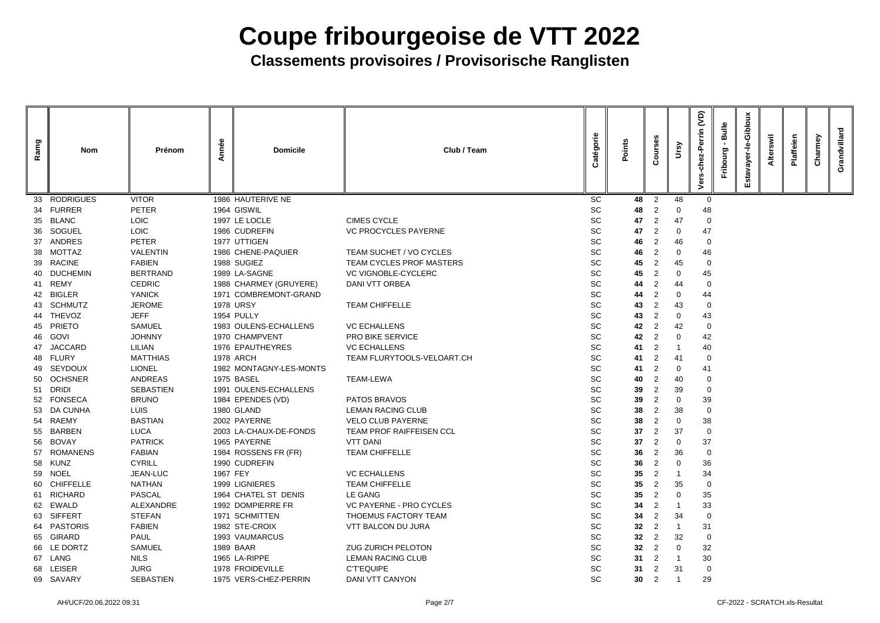| Ramg | Nom                           | Prénom                         | Année    | <b>Domicile</b>                    | Club / Team                             | Catégorie | Points          | Ø)<br>JIno<br>Ω                  | Ursy     | <b>JO</b><br>errin<br>۵Ď<br>듕<br>ة | Bulle<br>Fribourg | Giblou<br>ف<br>ד<br>ayer<br>stav | swil<br><b>Alter</b> | Plaffeien | Charmey | Grandvillard |
|------|-------------------------------|--------------------------------|----------|------------------------------------|-----------------------------------------|-----------|-----------------|----------------------------------|----------|------------------------------------|-------------------|----------------------------------|----------------------|-----------|---------|--------------|
| 33   | <b>RODRIGUES</b>              | <b>VITOR</b>                   |          | 1986 HAUTERIVE NE                  |                                         | SC        | 48              | $\overline{2}$                   | 48       | $\overline{0}$                     |                   |                                  |                      |           |         |              |
| 34   | <b>FURRER</b>                 | <b>PETER</b>                   |          | 1964 GISWIL                        |                                         | SC        | 48              | 2                                | $\Omega$ | 48                                 |                   |                                  |                      |           |         |              |
| 35   | <b>BLANC</b>                  | <b>LOIC</b>                    |          | 1997 LE LOCLE                      | <b>CIMES CYCLE</b>                      | SC        | 47              | $\overline{2}$                   | 47       | $\mathbf 0$                        |                   |                                  |                      |           |         |              |
| 36   | <b>SOGUEL</b>                 | LOIC                           |          | 1986 CUDREFIN                      | <b>VC PROCYCLES PAYERNE</b>             | SC        | 47              | $\overline{2}$                   | $\Omega$ | 47                                 |                   |                                  |                      |           |         |              |
| 37   | <b>ANDRES</b>                 | <b>PETER</b>                   |          | 1977 UTTIGEN                       |                                         | SC        | 46              | $\overline{2}$                   | 46       | $\mathbf 0$                        |                   |                                  |                      |           |         |              |
| 38   | MOTTAZ                        | <b>VALENTIN</b>                |          | 1986 CHENE-PAQUIER                 | TEAM SUCHET / VO CYCLES                 | SC        | 46              | $\overline{2}$                   | $\Omega$ | 46                                 |                   |                                  |                      |           |         |              |
| 39   | <b>RACINE</b>                 | <b>FABIEN</b>                  |          | 1988 SUGIEZ                        | <b>TEAM CYCLES PROF MASTERS</b>         | SC        | 45              | $\overline{2}$                   | 45       | $\mathbf 0$                        |                   |                                  |                      |           |         |              |
|      | <b>DUCHEMIN</b>               | <b>BERTRAND</b>                |          | 1989 LA-SAGNE                      | <b>VC VIGNOBLE-CYCLERC</b>              | SC        | 45              | $\overline{2}$                   | $\Omega$ | 45                                 |                   |                                  |                      |           |         |              |
| 41   | <b>REMY</b>                   | <b>CEDRIC</b>                  |          | 1988 CHARMEY (GRUYERE)             | <b>DANI VTT ORBEA</b>                   | SC        | 44              |                                  | 44       | $\overline{0}$                     |                   |                                  |                      |           |         |              |
| 42   | <b>BIGLER</b>                 | <b>YANICK</b>                  |          | 1971 COMBREMONT-GRAND              |                                         | SC        | 44              | $\overline{2}$                   | $\Omega$ | 44                                 |                   |                                  |                      |           |         |              |
|      | <b>SCHMUTZ</b>                | <b>JEROME</b>                  |          | <b>1978 URSY</b>                   | <b>TEAM CHIFFELLE</b>                   | SC        | 43              | $\overline{2}$                   | 43       | $\overline{0}$                     |                   |                                  |                      |           |         |              |
|      | 44 THEVOZ                     | <b>JEFF</b>                    |          | 1954 PULLY                         |                                         | SC        | 43              | $\overline{2}$                   | 0        | 43                                 |                   |                                  |                      |           |         |              |
| 45   | <b>PRIETO</b>                 | <b>SAMUEL</b>                  |          | 1983 OULENS-ECHALLENS              | <b>VC ECHALLENS</b>                     | SC        | 42              | -2                               | 42       | $\mathbf 0$                        |                   |                                  |                      |           |         |              |
| 46   | <b>GOVI</b><br><b>JACCARD</b> | <b>JOHNNY</b><br><b>LILIAN</b> |          | 1970 CHAMPVENT<br>1976 EPAUTHEYRES | PRO BIKE SERVICE<br><b>VC ECHALLENS</b> | SC<br>SC  | 42<br>41        | $\overline{2}$<br>$\overline{2}$ | $\Omega$ | 42                                 |                   |                                  |                      |           |         |              |
| 47   | 48 FLURY                      | <b>MATTHIAS</b>                |          | <b>1978 ARCH</b>                   | TEAM FLURYTOOLS-VELOART.CH              | SC        | 41              | $\overline{2}$                   | 41       | 40                                 |                   |                                  |                      |           |         |              |
| 49.  | <b>SEYDOUX</b>                | <b>LIONEL</b>                  |          | 1982 MONTAGNY-LES-MONTS            |                                         | SC        | 41              | $\overline{2}$                   | 0        | 0<br>41                            |                   |                                  |                      |           |         |              |
|      | 50 OCHSNER                    | <b>ANDREAS</b>                 |          | 1975 BASEL                         | <b>TEAM-LEWA</b>                        | SC        | 40              | 2                                | 40       | $\overline{0}$                     |                   |                                  |                      |           |         |              |
| 51   | <b>DRIDI</b>                  | <b>SEBASTIEN</b>               |          | 1991 OULENS-ECHALLENS              |                                         | SC        | 39              | $\overline{2}$                   | 39       | $\mathbf 0$                        |                   |                                  |                      |           |         |              |
|      | 52 FONSECA                    | <b>BRUNO</b>                   |          | 1984 EPENDES (VD)                  | PATOS BRAVOS                            | SC        | 39              |                                  | 0        | 39                                 |                   |                                  |                      |           |         |              |
|      | 53 DA CUNHA                   | <b>LUIS</b>                    |          | 1980 GLAND                         | <b>LEMAN RACING CLUB</b>                | SC        | 38              | 2                                | 38       | $\overline{0}$                     |                   |                                  |                      |           |         |              |
| 54   | RAEMY                         | <b>BASTIAN</b>                 |          | 2002 PAYERNE                       | <b>VELO CLUB PAYERNE</b>                | <b>SC</b> | 38              | $\overline{2}$                   | $\bf{0}$ | 38                                 |                   |                                  |                      |           |         |              |
| 55   | <b>BARBEN</b>                 | <b>LUCA</b>                    |          | 2003 LA-CHAUX-DE-FONDS             | <b>TEAM PROF RAIFFEISEN CCL</b>         | <b>SC</b> | 37              | $\overline{2}$                   | 37       | -0                                 |                   |                                  |                      |           |         |              |
| 56   | <b>BOVAY</b>                  | <b>PATRICK</b>                 |          | 1965 PAYERNE                       | <b>VTT DANI</b>                         | <b>SC</b> | 37              | 2                                |          | 37                                 |                   |                                  |                      |           |         |              |
|      | 57 ROMANENS                   | <b>FABIAN</b>                  |          | 1984 ROSSENS FR (FR)               | <b>TEAM CHIFFELLE</b>                   | <b>SC</b> | 36              | $\overline{2}$                   | 36       | $\overline{0}$                     |                   |                                  |                      |           |         |              |
|      | 58 KUNZ                       | <b>CYRILL</b>                  |          | 1990 CUDREFIN                      |                                         | <b>SC</b> | 36              | $\overline{2}$                   |          | 36                                 |                   |                                  |                      |           |         |              |
|      | 59 NOEL                       | JEAN-LUC                       | 1967 FEY |                                    | <b>VC ECHALLENS</b>                     | <b>SC</b> | $35\,$          | $\overline{2}$                   |          | 34                                 |                   |                                  |                      |           |         |              |
|      | 60 CHIFFELLE                  | <b>NATHAN</b>                  |          | 1999 LIGNIERES                     | <b>TEAM CHIFFELLE</b>                   | <b>SC</b> | 35              | $\overline{2}$                   | 35       | -0                                 |                   |                                  |                      |           |         |              |
| 61   | RICHARD                       | <b>PASCAL</b>                  |          | 1964 CHATEL ST DENIS               | LE GANG                                 | <b>SC</b> | 35              | 2                                |          | 35                                 |                   |                                  |                      |           |         |              |
| 62   | EWALD                         | ALEXANDRE                      |          | 1992 DOMPIERRE FR                  | <b>VC PAYERNE - PRO CYCLES</b>          | <b>SC</b> | 34              | 2                                |          | 33                                 |                   |                                  |                      |           |         |              |
| 63   | <b>SIFFERT</b>                | <b>STEFAN</b>                  |          | 1971 SCHMITTEN                     | THOEMUS FACTORY TEAM                    | <b>SC</b> | 34              | $\overline{2}$                   | 34       | -0                                 |                   |                                  |                      |           |         |              |
|      | 64 PASTORIS                   | <b>FABIEN</b>                  |          | 1982 STE-CROIX                     | VTT BALCON DU JURA                      | <b>SC</b> | 32              | 2                                |          | 31                                 |                   |                                  |                      |           |         |              |
|      | 65 GIRARD                     | <b>PAUL</b>                    |          | 1993 VAUMARCUS                     |                                         | SC        | 32              | $\overline{2}$                   | 32       | $\overline{0}$                     |                   |                                  |                      |           |         |              |
|      | 66 LE DORTZ                   | <b>SAMUEL</b>                  |          | 1989 BAAR                          | <b>ZUG ZURICH PELOTON</b>               | <b>SC</b> | 32              | $\overline{2}$                   | $\Omega$ | 32                                 |                   |                                  |                      |           |         |              |
|      | 67 LANG                       | <b>NILS</b>                    |          | 1965 LA-RIPPE                      | <b>LEMAN RACING CLUB</b>                | <b>SC</b> | 31              | $\overline{2}$                   |          | 30                                 |                   |                                  |                      |           |         |              |
|      | 68 LEISER                     | <b>JURG</b>                    |          | 1978 FROIDEVILLE                   | <b>C'T'EQUIPE</b>                       | <b>SC</b> | 31              | $\overline{2}$                   | -31      | 0                                  |                   |                                  |                      |           |         |              |
|      | 69 SAVARY                     | <b>SEBASTIEN</b>               |          | 1975 VERS-CHEZ-PERRIN              | DANI VTT CANYON                         | SC        | 30 <sub>o</sub> | $\overline{2}$                   |          | 29                                 |                   |                                  |                      |           |         |              |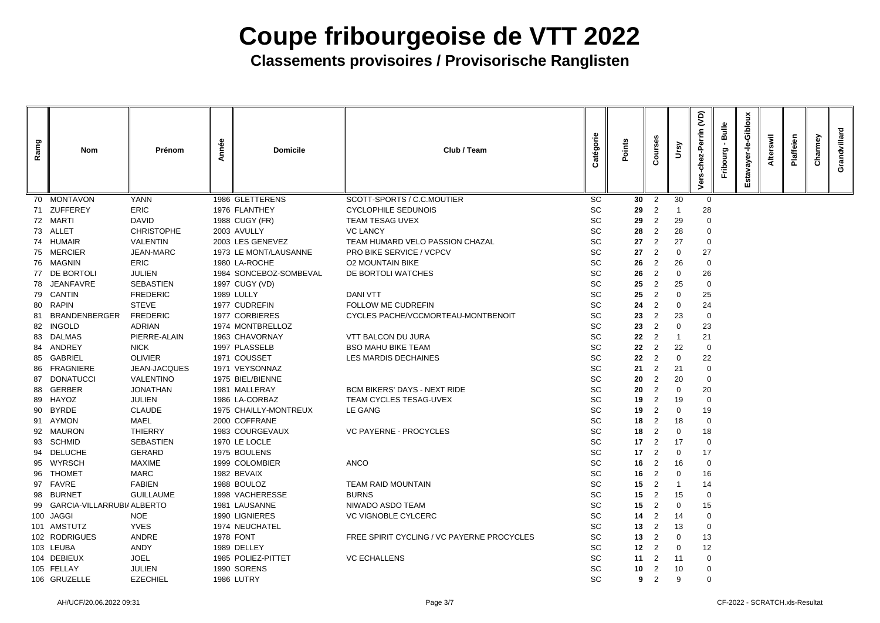| Ramg | <b>Nom</b>                    | Prénom            | Année | <b>Domicile</b>        | Club / Team                                | Catégorie | Points          | Ses<br>$\mathfrak{c}$ | Ursy           | <b>G</b><br>errin<br>$\tilde{5}$<br>ة | <b>Bulle</b><br>Fribourg | Giblor<br>Φ<br>έō | swil<br><b>Alter</b> | Plaffeien | armey<br>$\tilde{5}$ | <b>Villard</b><br>Grandy |
|------|-------------------------------|-------------------|-------|------------------------|--------------------------------------------|-----------|-----------------|-----------------------|----------------|---------------------------------------|--------------------------|-------------------|----------------------|-----------|----------------------|--------------------------|
|      | 70 MONTAVON                   | <b>YANN</b>       |       | 1986 GLETTERENS        | SCOTT-SPORTS / C.C.MOUTIER                 | <b>SC</b> | 30 <sup>°</sup> | $\overline{2}$        | 30             | $\overline{0}$                        |                          |                   |                      |           |                      |                          |
|      | 71 ZUFFEREY                   | <b>ERIC</b>       |       | 1976 FLANTHEY          | <b>CYCLOPHILE SEDUNOIS</b>                 | <b>SC</b> | 29              | 2                     |                | 28                                    |                          |                   |                      |           |                      |                          |
|      | 72 MARTI                      | <b>DAVID</b>      |       | 1988 CUGY (FR)         | <b>TEAM TESAG UVEX</b>                     | <b>SC</b> | 29              | $\overline{2}$        | 29             | -0                                    |                          |                   |                      |           |                      |                          |
|      | 73 ALLET                      | <b>CHRISTOPHE</b> |       | 2003 AVULLY            | <b>VC LANCY</b>                            | <b>SC</b> | 28              | $\overline{2}$        | 28             | $\overline{0}$                        |                          |                   |                      |           |                      |                          |
|      | 74 HUMAIR                     | <b>VALENTIN</b>   |       | 2003 LES GENEVEZ       | TEAM HUMARD VELO PASSION CHAZAL            | <b>SC</b> | 27              | $\overline{2}$        | 27             | - 0                                   |                          |                   |                      |           |                      |                          |
|      | 75 MERCIER                    | <b>JEAN-MARC</b>  |       | 1973 LE MONT/LAUSANNE  | PRO BIKE SERVICE / VCPCV                   | <b>SC</b> | 27              | $\overline{2}$        | $\Omega$       | 27                                    |                          |                   |                      |           |                      |                          |
|      | 76 MAGNIN                     | <b>ERIC</b>       |       | 1980 LA-ROCHE          | <b>O2 MOUNTAIN BIKE</b>                    | <b>SC</b> | 26              | $\overline{2}$        | 26             | -0                                    |                          |                   |                      |           |                      |                          |
|      | 77 DE BORTOLI                 | <b>JULIEN</b>     |       | 1984 SONCEBOZ-SOMBEVAL | DE BORTOLI WATCHES                         | <b>SC</b> | 26              | 2                     | $\Omega$       | 26                                    |                          |                   |                      |           |                      |                          |
| 78   | JEANFAVRE                     | <b>SEBASTIEN</b>  |       | 1997 CUGY (VD)         |                                            | <b>SC</b> | 25              | $\overline{2}$        | 25             | -0                                    |                          |                   |                      |           |                      |                          |
|      | 79 CANTIN                     | <b>FREDERIC</b>   |       | <b>1989 LULLY</b>      | <b>DANI VTT</b>                            | <b>SC</b> | 25              | 2                     | $\Omega$       | 25                                    |                          |                   |                      |           |                      |                          |
| -80  | <b>RAPIN</b>                  | <b>STEVE</b>      |       | 1977 CUDREFIN          | FOLLOW ME CUDREFIN                         | <b>SC</b> | 24              | 2                     | -0             | 24                                    |                          |                   |                      |           |                      |                          |
| 81   | <b>BRANDENBERGER</b>          | <b>FREDERIC</b>   |       | 1977 CORBIERES         | CYCLES PACHE/VCCMORTEAU-MONTBENOIT         | <b>SC</b> | 23              | $\overline{2}$        | 23             | - 0                                   |                          |                   |                      |           |                      |                          |
| 82   | <b>INGOLD</b>                 | <b>ADRIAN</b>     |       | 1974 MONTBRELLOZ       |                                            | <b>SC</b> | 23              | $\overline{2}$        | $\Omega$       | 23                                    |                          |                   |                      |           |                      |                          |
| 83   | <b>DALMAS</b>                 | PIERRE-ALAIN      |       | 1963 CHAVORNAY         | <b>VTT BALCON DU JURA</b>                  | <b>SC</b> | 22              | 2                     |                | 21                                    |                          |                   |                      |           |                      |                          |
| 84   | ANDREY                        | <b>NICK</b>       |       | 1997 PLASSELB          | <b>BSO MAHU BIKE TEAM</b>                  | <b>SC</b> | 22              | $\overline{2}$        | 22             | -0                                    |                          |                   |                      |           |                      |                          |
| 85   | <b>GABRIEL</b>                | <b>OLIVIER</b>    |       | 1971 COUSSET           | <b>LES MARDIS DECHAINES</b>                | <b>SC</b> | 22              | 2                     | $\Omega$       | 22                                    |                          |                   |                      |           |                      |                          |
| -86  | <b>FRAGNIERE</b>              | JEAN-JACQUES      |       | 1971 VEYSONNAZ         |                                            | <b>SC</b> | 21              | $\overline{2}$        | 21             | $\overline{0}$                        |                          |                   |                      |           |                      |                          |
|      | 87 DONATUCCI                  | <b>VALENTINO</b>  |       | 1975 BIEL/BIENNE       |                                            | <b>SC</b> | 20              | $\overline{2}$        | 20             | $\overline{0}$                        |                          |                   |                      |           |                      |                          |
| 88   | <b>GERBER</b>                 | <b>JONATHAN</b>   |       | 1981 MALLERAY          | <b>BCM BIKERS' DAYS - NEXT RIDE</b>        | <b>SC</b> | 20              | $\overline{2}$        | $\Omega$       | 20                                    |                          |                   |                      |           |                      |                          |
| 89   | HAYOZ                         | <b>JULIEN</b>     |       | 1986 LA-CORBAZ         | <b>TEAM CYCLES TESAG-UVEX</b>              | <b>SC</b> | 19              | 2                     | 19             | $\overline{0}$                        |                          |                   |                      |           |                      |                          |
| 90   | <b>BYRDE</b>                  | <b>CLAUDE</b>     |       | 1975 CHAILLY-MONTREUX  | LE GANG                                    | <b>SC</b> | 19              | $\overline{2}$        | 0              | 19                                    |                          |                   |                      |           |                      |                          |
|      | 91 AYMON                      | <b>MAEL</b>       |       | 2000 COFFRANE          |                                            | SC        | 18              | $\overline{2}$        | 18             | $\overline{0}$                        |                          |                   |                      |           |                      |                          |
|      | 92 MAURON                     | <b>THIERRY</b>    |       | 1983 COURGEVAUX        | <b>VC PAYERNE - PROCYCLES</b>              | <b>SC</b> | 18              | $\overline{2}$        | $\overline{0}$ | 18                                    |                          |                   |                      |           |                      |                          |
|      | 93 SCHMID                     | <b>SEBASTIEN</b>  |       | 1970 LE LOCLE          |                                            | <b>SC</b> | 17              | $\overline{2}$        | 17             | $\overline{0}$                        |                          |                   |                      |           |                      |                          |
| 94   | <b>DELUCHE</b>                | <b>GERARD</b>     |       | 1975 BOULENS           |                                            | <b>SC</b> | 17              | $\overline{2}$        | $\overline{0}$ | 17                                    |                          |                   |                      |           |                      |                          |
|      | 95 WYRSCH                     | <b>MAXIME</b>     |       | 1999 COLOMBIER         | <b>ANCO</b>                                | <b>SC</b> | 16              | $\overline{2}$        | 16             | $\overline{0}$                        |                          |                   |                      |           |                      |                          |
| 96   | <b>THOMET</b>                 | <b>MARC</b>       |       | 1982 BEVAIX            |                                            | <b>SC</b> | 16              | 2                     | $\Omega$       | 16                                    |                          |                   |                      |           |                      |                          |
|      | 97 FAVRE                      | <b>FABIEN</b>     |       | 1988 BOULOZ            | <b>TEAM RAID MOUNTAIN</b>                  | <b>SC</b> | 15              | 2                     |                | 14                                    |                          |                   |                      |           |                      |                          |
|      | 98 BURNET                     | <b>GUILLAUME</b>  |       | 1998 VACHERESSE        | <b>BURNS</b>                               | <b>SC</b> | 15              | $\overline{2}$        | 15             | $\overline{0}$                        |                          |                   |                      |           |                      |                          |
|      | 99 GARCIA-VILLARRUBI/ ALBERTO |                   |       | 1981 LAUSANNE          | NIWADO ASDO TEAM                           | <b>SC</b> | 15              | 2                     | $\Omega$       | 15                                    |                          |                   |                      |           |                      |                          |
|      | 100 JAGGI                     | <b>NOE</b>        |       | 1990 LIGNIERES         | <b>VC VIGNOBLE CYLCERC</b>                 | <b>SC</b> | 14              | 2                     | 14             | $\overline{0}$                        |                          |                   |                      |           |                      |                          |
|      | 101 AMSTUTZ                   | <b>YVES</b>       |       | 1974 NEUCHATEL         |                                            | <b>SC</b> | 13              | 2                     | 13             | $\overline{0}$                        |                          |                   |                      |           |                      |                          |
|      | 102 RODRIGUES                 | ANDRE             |       | <b>1978 FONT</b>       | FREE SPIRIT CYCLING / VC PAYERNE PROCYCLES | <b>SC</b> | 13              | 2                     | $\overline{0}$ | 13                                    |                          |                   |                      |           |                      |                          |
|      | 103 LEUBA                     | <b>ANDY</b>       |       | 1989 DELLEY            |                                            | <b>SC</b> | 12              | $\overline{2}$        | $\Omega$       | 12                                    |                          |                   |                      |           |                      |                          |
|      | 104 DEBIEUX                   | <b>JOEL</b>       |       | 1985 POLIEZ-PITTET     | <b>VC ECHALLENS</b>                        | <b>SC</b> | 11              | 2                     | 11             | $\mathbf 0$                           |                          |                   |                      |           |                      |                          |
|      | 105 FELLAY                    | <b>JULIEN</b>     |       | 1990 SORENS            |                                            | <b>SC</b> | 10              | $\overline{2}$        | 10             | $\overline{0}$                        |                          |                   |                      |           |                      |                          |
|      | 106 GRUZELLE                  | <b>EZECHIEL</b>   |       | 1986 LUTRY             |                                            | <b>SC</b> | 9               | $\overline{2}$        | 9              | $\mathbf 0$                           |                          |                   |                      |           |                      |                          |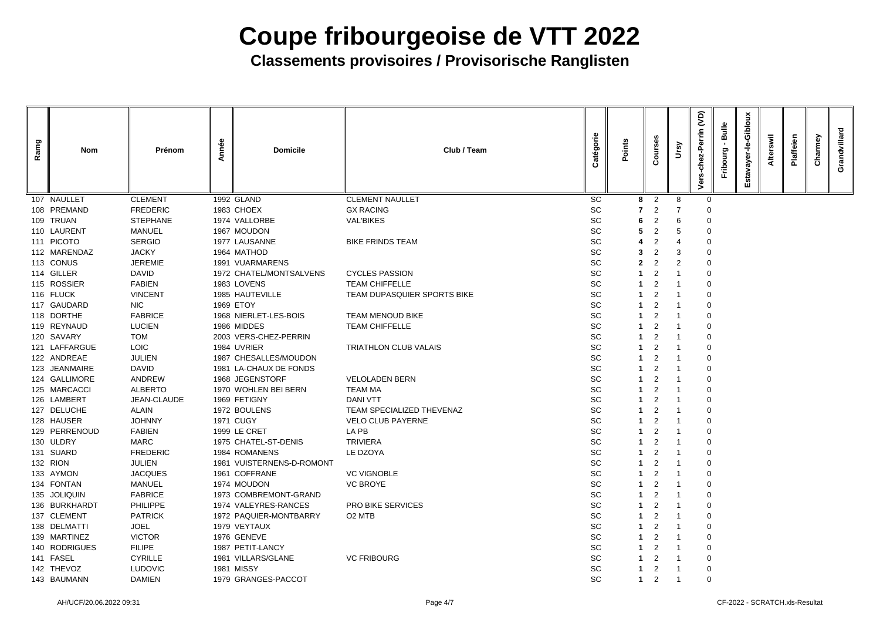| Ramg | <b>Nom</b>    | Prénom          | nnée<br>⋖ | <b>Domicile</b>           | Club / Team                  | atégorie  | Points | <b>Ses</b><br><b>Cour</b> | Ver | <b>G</b><br>Perrin | <b>Bulle</b><br>ō | Giblor<br>ayer<br>ш | swil | laffeien | Charmey | villard<br>Grand |
|------|---------------|-----------------|-----------|---------------------------|------------------------------|-----------|--------|---------------------------|-----|--------------------|-------------------|---------------------|------|----------|---------|------------------|
|      | 107 NAULLET   | <b>CLEMENT</b>  |           | 1992 GLAND                | <b>CLEMENT NAULLET</b>       | <b>SC</b> | 8      | $\overline{2}$            | 8   | $\mathbf 0$        |                   |                     |      |          |         |                  |
|      | 108 PREMAND   | <b>FREDERIC</b> |           | 1983 CHOEX                | <b>GX RACING</b>             | SC        |        | 2                         |     |                    |                   |                     |      |          |         |                  |
|      | 109 TRUAN     | <b>STEPHANE</b> |           | 1974 VALLORBE             | <b>VAL'BIKES</b>             | SC        |        | $\overline{2}$            | 6   | $\Omega$           |                   |                     |      |          |         |                  |
|      | 110 LAURENT   | <b>MANUEL</b>   |           | 1967 MOUDON               |                              | SC        |        | 2                         | 5   | 0                  |                   |                     |      |          |         |                  |
|      | 111 PICOTO    | <b>SERGIO</b>   |           | 1977 LAUSANNE             | <b>BIKE FRINDS TEAM</b>      | SC        |        | 2                         |     | 0                  |                   |                     |      |          |         |                  |
|      | 112 MARENDAZ  | <b>JACKY</b>    |           | 1964 MATHOD               |                              | SC        |        |                           | 3   | 0                  |                   |                     |      |          |         |                  |
|      | 113 CONUS     | <b>JEREMIE</b>  |           | 1991 VUARMARENS           |                              | SC        |        | 2                         | 2   | 0                  |                   |                     |      |          |         |                  |
|      | 114 GILLER    | <b>DAVID</b>    |           | 1972 CHATEL/MONTSALVENS   | <b>CYCLES PASSION</b>        | SC        |        |                           |     | 0                  |                   |                     |      |          |         |                  |
|      | 115 ROSSIER   | <b>FABIEN</b>   |           | 1983 LOVENS               | <b>TEAM CHIFFELLE</b>        | SC        |        | 2                         |     | 0                  |                   |                     |      |          |         |                  |
|      | 116 FLUCK     | <b>VINCENT</b>  |           | 1985 HAUTEVILLE           | TEAM DUPASQUIER SPORTS BIKE  | SC        |        |                           |     | 0                  |                   |                     |      |          |         |                  |
|      | 117 GAUDARD   | <b>NIC</b>      |           | 1969 ETOY                 |                              | SC        |        | 2                         |     | 0                  |                   |                     |      |          |         |                  |
|      | 118 DORTHE    | <b>FABRICE</b>  |           | 1968 NIERLET-LES-BOIS     | <b>TEAM MENOUD BIKE</b>      | <b>SC</b> |        | 2                         |     | 0                  |                   |                     |      |          |         |                  |
|      | 119 REYNAUD   | <b>LUCIEN</b>   |           | 1986 MIDDES               | <b>TEAM CHIFFELLE</b>        | <b>SC</b> |        | 2                         |     | 0                  |                   |                     |      |          |         |                  |
|      | 120 SAVARY    | <b>TOM</b>      |           | 2003 VERS-CHEZ-PERRIN     |                              | SC        |        |                           |     | 0                  |                   |                     |      |          |         |                  |
|      | 121 LAFFARGUE | <b>LOIC</b>     |           | 1984 UVRIER               | <b>TRIATHLON CLUB VALAIS</b> | SC        |        | 2                         |     | 0                  |                   |                     |      |          |         |                  |
|      | 122 ANDREAE   | <b>JULIEN</b>   |           | 1987 CHESALLES/MOUDON     |                              | SC        |        | 2                         |     | 0                  |                   |                     |      |          |         |                  |
|      | 123 JEANMAIRE | <b>DAVID</b>    |           | 1981 LA-CHAUX DE FONDS    |                              | SC        |        | 2                         |     | 0                  |                   |                     |      |          |         |                  |
|      | 124 GALLIMORE | <b>ANDREW</b>   |           | 1968 JEGENSTORF           | <b>VELOLADEN BERN</b>        | SC        |        | 2                         |     | 0                  |                   |                     |      |          |         |                  |
|      | 125 MARCACCI  | <b>ALBERTO</b>  |           | 1970 WOHLEN BEI BERN      | <b>TEAM MA</b>               | <b>SC</b> |        | 2                         |     | 0                  |                   |                     |      |          |         |                  |
|      | 126 LAMBERT   | JEAN-CLAUDE     |           | 1969 FETIGNY              | <b>DANI VTT</b>              | SC        |        |                           |     | 0                  |                   |                     |      |          |         |                  |
|      | 127 DELUCHE   | <b>ALAIN</b>    |           | 1972 BOULENS              | TEAM SPECIALIZED THEVENAZ    | SC        |        | 2                         |     | 0                  |                   |                     |      |          |         |                  |
|      | 128 HAUSER    | <b>JOHNNY</b>   |           | <b>1971 CUGY</b>          | <b>VELO CLUB PAYERNE</b>     | SC        |        | $\overline{2}$            |     | 0                  |                   |                     |      |          |         |                  |
|      | 129 PERRENOUD | <b>FABIEN</b>   |           | 1999 LE CRET              | LA PB                        | <b>SC</b> |        | 2                         |     |                    |                   |                     |      |          |         |                  |
|      | 130 ULDRY     | <b>MARC</b>     |           | 1975 CHATEL-ST-DENIS      | <b>TRIVIERA</b>              | SC        |        | 2                         |     | 0                  |                   |                     |      |          |         |                  |
|      | 131 SUARD     | <b>FREDERIC</b> |           | 1984 ROMANENS             | LE DZOYA                     | <b>SC</b> |        | $\overline{2}$            |     | 0                  |                   |                     |      |          |         |                  |
|      | 132 RION      | <b>JULIEN</b>   |           | 1981 VUISTERNENS-D-ROMONT |                              | SC        |        | 2                         |     | 0                  |                   |                     |      |          |         |                  |
|      | 133 AYMON     | <b>JACQUES</b>  |           | 1961 COFFRANE             | <b>VC VIGNOBLE</b>           | SC        |        | 2                         |     |                    |                   |                     |      |          |         |                  |
|      | 134 FONTAN    | <b>MANUEL</b>   |           | 1974 MOUDON               | <b>VC BROYE</b>              | <b>SC</b> |        | 2                         |     | 0                  |                   |                     |      |          |         |                  |
|      | 135 JOLIQUIN  | <b>FABRICE</b>  |           | 1973 COMBREMONT-GRAND     |                              | <b>SC</b> |        | $\overline{2}$            |     | 0                  |                   |                     |      |          |         |                  |
|      | 136 BURKHARDT | <b>PHILIPPE</b> |           | 1974 VALEYRES-RANCES      | <b>PRO BIKE SERVICES</b>     | SC        |        | 2                         |     | 0                  |                   |                     |      |          |         |                  |
|      | 137 CLEMENT   | <b>PATRICK</b>  |           | 1972 PAQUIER-MONTBARRY    | O <sub>2</sub> MTB           | <b>SC</b> |        | $\overline{2}$            |     |                    |                   |                     |      |          |         |                  |
|      | 138 DELMATTI  | <b>JOEL</b>     |           | 1979 VEYTAUX              |                              | <b>SC</b> |        | $\overline{2}$            |     | 0                  |                   |                     |      |          |         |                  |
|      | 139 MARTINEZ  | <b>VICTOR</b>   |           | 1976 GENEVE               |                              | SC        |        | $\overline{2}$            |     |                    |                   |                     |      |          |         |                  |
|      | 140 RODRIGUES | <b>FILIPE</b>   |           | 1987 PETIT-LANCY          |                              | <b>SC</b> |        | $\overline{2}$            |     | 0                  |                   |                     |      |          |         |                  |
|      | 141 FASEL     | <b>CYRILLE</b>  |           | 1981 VILLARS/GLANE        | <b>VC FRIBOURG</b>           | SC        |        | $\overline{2}$            |     |                    |                   |                     |      |          |         |                  |
|      | 142 THEVOZ    | <b>LUDOVIC</b>  |           | <b>1981 MISSY</b>         |                              | <b>SC</b> |        | $\overline{2}$            |     | $\mathbf 0$        |                   |                     |      |          |         |                  |
|      | 143 BAUMANN   | <b>DAMIEN</b>   |           | 1979 GRANGES-PACCOT       |                              | <b>SC</b> | 1      | 2                         |     | $\mathbf 0$        |                   |                     |      |          |         |                  |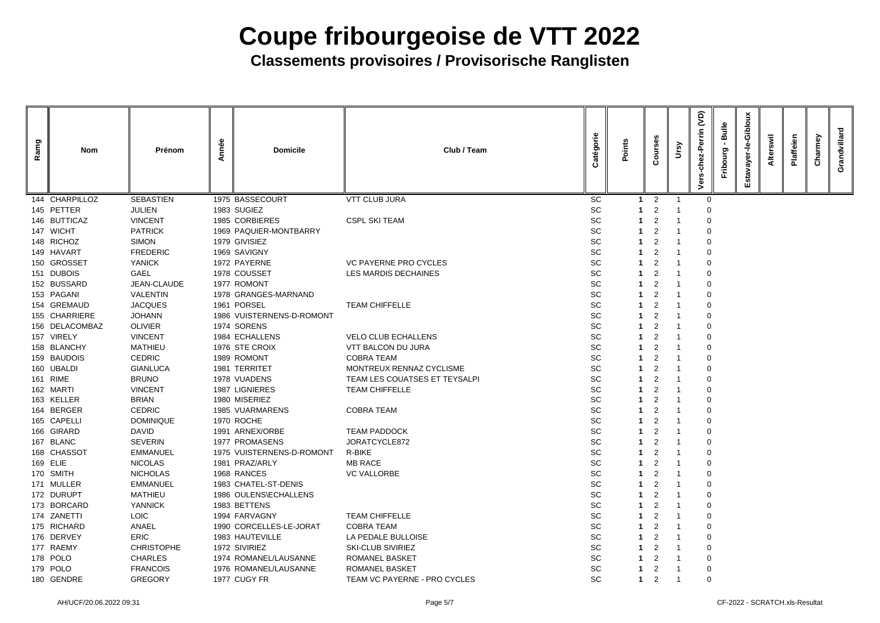| Ramg | <b>Nom</b>     | Prénom            | Année | <b>Domicile</b>           | Club / Team                   | atégorie  | Points | <b>Ses</b><br>Cour | Ursy | <b>G</b><br>Perrin<br>$ez -$<br>ō | <b>Bulle</b><br>Fribourg | Giblou<br>ayer. | Swil<br><b>Alter</b> | Plaffeien | Charmey | Ivillard<br>Grand |
|------|----------------|-------------------|-------|---------------------------|-------------------------------|-----------|--------|--------------------|------|-----------------------------------|--------------------------|-----------------|----------------------|-----------|---------|-------------------|
|      | 144 CHARPILLOZ | <b>SEBASTIEN</b>  |       | 1975 BASSECOURT           | <b>VTT CLUB JURA</b>          | <b>SC</b> |        | $\overline{2}$     |      | $\mathbf 0$                       |                          |                 |                      |           |         |                   |
|      | 145 PETTER     | <b>JULIEN</b>     |       | 1983 SUGIEZ               |                               | SC        |        | 2                  |      | 0                                 |                          |                 |                      |           |         |                   |
|      | 146 BUTTICAZ   | <b>VINCENT</b>    |       | 1985 CORBIERES            | <b>CSPL SKI TEAM</b>          | SC        |        | $\overline{2}$     |      | $\Omega$                          |                          |                 |                      |           |         |                   |
|      | 147 WICHT      | <b>PATRICK</b>    |       | 1969 PAQUIER-MONTBARRY    |                               | <b>SC</b> |        | 2                  |      | 0                                 |                          |                 |                      |           |         |                   |
|      | 148 RICHOZ     | <b>SIMON</b>      |       | 1979 GIVISIEZ             |                               | SC        |        | $\overline{2}$     |      | 0                                 |                          |                 |                      |           |         |                   |
|      | 149 HAVART     | <b>FREDERIC</b>   |       | 1969 SAVIGNY              |                               | SC        |        |                    |      | 0                                 |                          |                 |                      |           |         |                   |
|      | 150 GROSSET    | <b>YANICK</b>     |       | 1972 PAYERNE              | <b>VC PAYERNE PRO CYCLES</b>  | SC        |        | 2                  |      | 0                                 |                          |                 |                      |           |         |                   |
|      | 151 DUBOIS     | <b>GAEL</b>       |       | 1978 COUSSET              | <b>LES MARDIS DECHAINES</b>   | <b>SC</b> |        | 2                  |      | 0                                 |                          |                 |                      |           |         |                   |
|      | 152 BUSSARD    | JEAN-CLAUDE       |       | 1977 ROMONT               |                               | SC        |        | $\overline{2}$     |      | 0                                 |                          |                 |                      |           |         |                   |
|      | 153 PAGANI     | <b>VALENTIN</b>   |       | 1978 GRANGES-MARNAND      |                               | <b>SC</b> |        | 2                  |      | 0                                 |                          |                 |                      |           |         |                   |
|      | 154 GREMAUD    | <b>JACQUES</b>    |       | 1961 PORSEL               | <b>TEAM CHIFFELLE</b>         | SC        |        | 2                  |      | 0                                 |                          |                 |                      |           |         |                   |
|      | 155 CHARRIERE  | <b>JOHANN</b>     |       | 1986 VUISTERNENS-D-ROMONT |                               | SC        |        | 2                  |      | 0                                 |                          |                 |                      |           |         |                   |
|      | 156 DELACOMBAZ | <b>OLIVIER</b>    |       | 1974 SORENS               |                               | SC        |        | $\overline{2}$     |      | 0                                 |                          |                 |                      |           |         |                   |
|      | 157 VIRELY     | <b>VINCENT</b>    |       | 1984 ECHALLENS            | <b>VELO CLUB ECHALLENS</b>    | SC        |        | 2                  |      | 0                                 |                          |                 |                      |           |         |                   |
|      | 158 BLANCHY    | <b>MATHIEU</b>    |       | 1976 STE CROIX            | <b>VTT BALCON DU JURA</b>     | <b>SC</b> |        | 2                  |      | 0                                 |                          |                 |                      |           |         |                   |
|      | 159 BAUDOIS    | <b>CEDRIC</b>     |       | 1989 ROMONT               | <b>COBRA TEAM</b>             | SC        |        | 2                  |      | 0                                 |                          |                 |                      |           |         |                   |
|      | 160 UBALDI     | <b>GIANLUCA</b>   |       | 1981 TERRITET             | MONTREUX RENNAZ CYCLISME      | SC        |        | $\overline{2}$     |      | 0                                 |                          |                 |                      |           |         |                   |
|      | 161 RIME       | <b>BRUNO</b>      |       | 1978 VUADENS              | TEAM LES COUATSES ET TEYSALPI | <b>SC</b> |        | 2                  |      | 0                                 |                          |                 |                      |           |         |                   |
|      | 162 MARTI      | <b>VINCENT</b>    |       | 1987 LIGNIERES            | <b>TEAM CHIFFELLE</b>         | SC        |        | 2                  |      | 0                                 |                          |                 |                      |           |         |                   |
|      | 163 KELLER     | <b>BRIAN</b>      |       | 1980 MISERIEZ             |                               | SC        |        | 2                  |      | 0                                 |                          |                 |                      |           |         |                   |
|      | 164 BERGER     | <b>CEDRIC</b>     |       | 1985 VUARMARENS           | <b>COBRA TEAM</b>             | <b>SC</b> |        | $\overline{2}$     |      | 0                                 |                          |                 |                      |           |         |                   |
|      | 165 CAPELLI    | <b>DOMINIQUE</b>  |       | 1970 ROCHE                |                               | SC        |        | $\overline{2}$     |      | 0                                 |                          |                 |                      |           |         |                   |
|      | 166 GIRARD     | <b>DAVID</b>      |       | 1991 ARNEX/ORBE           | <b>TEAM PADDOCK</b>           | SC        |        | $\overline{2}$     |      |                                   |                          |                 |                      |           |         |                   |
|      | 167 BLANC      | <b>SEVERIN</b>    |       | 1977 PROMASENS            | JORATCYCLE872                 | <b>SC</b> |        | $\overline{2}$     |      | 0                                 |                          |                 |                      |           |         |                   |
|      | 168 CHASSOT    | <b>EMMANUEL</b>   |       | 1975 VUISTERNENS-D-ROMONT | R-BIKE                        | SC        |        | $\overline{2}$     |      | 0                                 |                          |                 |                      |           |         |                   |
|      | 169 ELIE       | <b>NICOLAS</b>    |       | 1981 PRAZ/ARLY            | <b>MB RACE</b>                | <b>SC</b> |        | $\overline{2}$     |      | 0                                 |                          |                 |                      |           |         |                   |
|      | 170 SMITH      | <b>NICHOLAS</b>   |       | 1968 RANCES               | <b>VC VALLORBE</b>            | <b>SC</b> |        | $\overline{2}$     |      |                                   |                          |                 |                      |           |         |                   |
|      | 171 MULLER     | <b>EMMANUEL</b>   |       | 1983 CHATEL-ST-DENIS      |                               | <b>SC</b> |        | $\overline{2}$     |      | 0                                 |                          |                 |                      |           |         |                   |
|      | 172 DURUPT     | <b>MATHIEU</b>    |       | 1986 OULENS\ECHALLENS     |                               | <b>SC</b> |        | $\overline{2}$     |      | 0                                 |                          |                 |                      |           |         |                   |
|      | 173 BORCARD    | <b>YANNICK</b>    |       | 1983 BETTENS              |                               | <b>SC</b> |        | $\overline{2}$     |      | 0                                 |                          |                 |                      |           |         |                   |
|      | 174 ZANETTI    | <b>LOIC</b>       |       | 1994 FARVAGNY             | <b>TEAM CHIFFELLE</b>         | <b>SC</b> |        | $\overline{2}$     |      |                                   |                          |                 |                      |           |         |                   |
|      | 175 RICHARD    | <b>ANAEL</b>      |       | 1990 CORCELLES-LE-JORAT   | <b>COBRA TEAM</b>             | SC        |        | $\overline{2}$     |      | 0                                 |                          |                 |                      |           |         |                   |
|      | 176 DERVEY     | <b>ERIC</b>       |       | 1983 HAUTEVILLE           | LA PEDALE BULLOISE            | SC        |        | $\overline{2}$     |      |                                   |                          |                 |                      |           |         |                   |
|      | 177 RAEMY      | <b>CHRISTOPHE</b> |       | 1972 SIVIRIEZ             | <b>SKI-CLUB SIVIRIEZ</b>      | SC        |        | $\overline{2}$     |      | 0                                 |                          |                 |                      |           |         |                   |
|      | 178 POLO       | <b>CHARLES</b>    |       | 1974 ROMANEL/LAUSANNE     | <b>ROMANEL BASKET</b>         | <b>SC</b> |        | $\overline{2}$     |      |                                   |                          |                 |                      |           |         |                   |
|      | 179 POLO       | <b>FRANCOIS</b>   |       | 1976 ROMANEL/LAUSANNE     | ROMANEL BASKET                | <b>SC</b> |        | $\overline{2}$     |      | $\overline{0}$                    |                          |                 |                      |           |         |                   |
|      | 180 GENDRE     | <b>GREGORY</b>    |       | 1977 CUGY FR              | TEAM VC PAYERNE - PRO CYCLES  | <b>SC</b> |        | 2                  |      | $\mathbf 0$                       |                          |                 |                      |           |         |                   |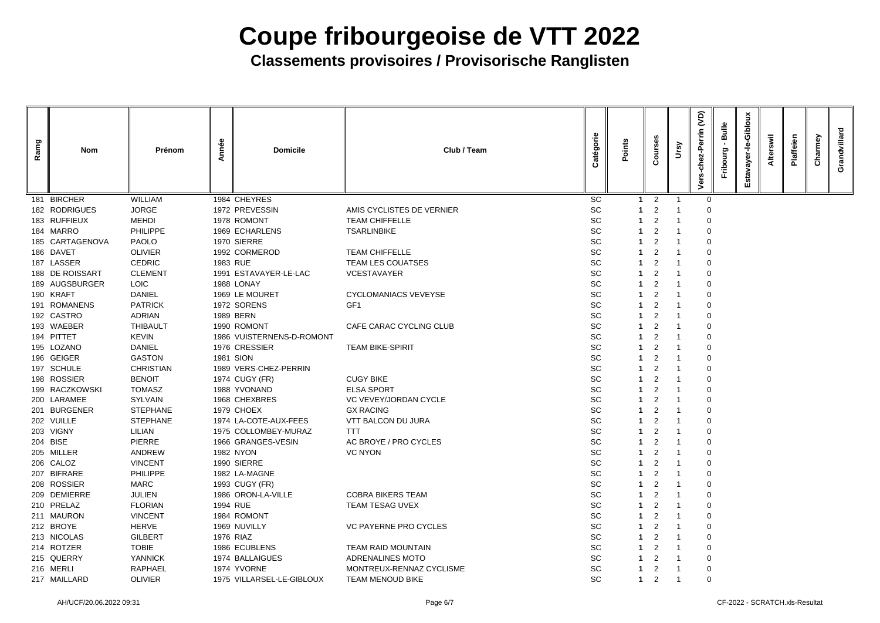| Ramg | <b>Nom</b>      | Prénom           | nnée<br>⋖ | <b>Domicile</b>           | Club / Team                  | atégorie  | Points      | <b>Ses</b><br><b>Jino</b> | Ver | <b>G</b><br>Perrin | <b>Bulle</b><br><u>පා</u> | Giblor<br>ayer | swil | laffeien | varmey<br>ٷ | Grand |
|------|-----------------|------------------|-----------|---------------------------|------------------------------|-----------|-------------|---------------------------|-----|--------------------|---------------------------|----------------|------|----------|-------------|-------|
|      | 181 BIRCHER     | <b>WILLIAM</b>   |           | 1984 CHEYRES              |                              | <b>SC</b> | -1          | $\overline{2}$            |     | $\mathbf 0$        |                           |                |      |          |             |       |
|      | 182 RODRIGUES   | <b>JORGE</b>     |           | 1972 PREVESSIN            | AMIS CYCLISTES DE VERNIER    | SC        |             |                           |     |                    |                           |                |      |          |             |       |
|      | 183 RUFFIEUX    | <b>MEHDI</b>     |           | 1978 ROMONT               | <b>TEAM CHIFFELLE</b>        | SC        |             | 2                         |     | 0                  |                           |                |      |          |             |       |
|      | 184 MARRO       | <b>PHILIPPE</b>  |           | 1969 ECHARLENS            | <b>TSARLINBIKE</b>           | SC        |             | 2                         |     | 0                  |                           |                |      |          |             |       |
|      | 185 CARTAGENOVA | <b>PAOLO</b>     |           | 1970 SIERRE               |                              | SC        |             | $\overline{2}$            |     |                    |                           |                |      |          |             |       |
|      | 186 DAVET       | <b>OLIVIER</b>   |           | 1992 CORMEROD             | <b>TEAM CHIFFELLE</b>        | SC        |             |                           |     |                    |                           |                |      |          |             |       |
|      | 187 LASSER      | <b>CEDRIC</b>    |           | 1983 RUE                  | <b>TEAM LES COUATSES</b>     | SC        |             |                           |     | 0                  |                           |                |      |          |             |       |
|      | 188 DE ROISSART | <b>CLEMENT</b>   |           | 1991 ESTAVAYER-LE-LAC     | <b>VCESTAVAYER</b>           | SC        |             | 2                         |     | 0                  |                           |                |      |          |             |       |
|      | 189 AUGSBURGER  | <b>LOIC</b>      |           | 1988 LONAY                |                              | SC        |             | 2                         |     |                    |                           |                |      |          |             |       |
|      | 190 KRAFT       | <b>DANIEL</b>    |           | 1969 LE MOURET            | <b>CYCLOMANIACS VEVEYSE</b>  | SC        |             |                           |     | 0                  |                           |                |      |          |             |       |
|      | 191 ROMANENS    | <b>PATRICK</b>   |           | 1972 SORENS               | GF1                          | SC        |             | 2                         |     | 0                  |                           |                |      |          |             |       |
|      | 192 CASTRO      | <b>ADRIAN</b>    |           | 1989 BERN                 |                              | <b>SC</b> |             | 2                         |     | 0                  |                           |                |      |          |             |       |
|      | 193 WAEBER      | <b>THIBAULT</b>  |           | 1990 ROMONT               | CAFE CARAC CYCLING CLUB      | SC        |             | 2                         |     |                    |                           |                |      |          |             |       |
|      | 194 PITTET      | <b>KEVIN</b>     |           | 1986 VUISTERNENS-D-ROMONT |                              | SC        |             |                           |     | 0                  |                           |                |      |          |             |       |
|      | 195 LOZANO      | <b>DANIEL</b>    |           | 1976 CRESSIER             | <b>TEAM BIKE-SPIRIT</b>      | SC        |             |                           |     | 0                  |                           |                |      |          |             |       |
|      | 196 GEIGER      | <b>GASTON</b>    |           | 1981 SION                 |                              | SC        |             |                           |     | 0                  |                           |                |      |          |             |       |
|      | 197 SCHULE      | <b>CHRISTIAN</b> |           | 1989 VERS-CHEZ-PERRIN     |                              | SC        |             | 2                         |     | 0                  |                           |                |      |          |             |       |
|      | 198 ROSSIER     | <b>BENOIT</b>    |           | 1974 CUGY (FR)            | <b>CUGY BIKE</b>             | SC        |             | 2                         |     | 0                  |                           |                |      |          |             |       |
|      | 199 RACZKOWSKI  | <b>TOMASZ</b>    |           | 1988 YVONAND              | <b>ELSA SPORT</b>            | <b>SC</b> |             | 2                         |     | $\Omega$           |                           |                |      |          |             |       |
|      | 200 LARAMEE     | <b>SYLVAIN</b>   |           | 1968 CHEXBRES             | VC VEVEY/JORDAN CYCLE        | SC        |             |                           |     | 0                  |                           |                |      |          |             |       |
|      | 201 BURGENER    | <b>STEPHANE</b>  |           | 1979 CHOEX                | <b>GX RACING</b>             | SC        |             | 2                         |     |                    |                           |                |      |          |             |       |
|      | 202 VUILLE      | <b>STEPHANE</b>  |           | 1974 LA-COTE-AUX-FEES     | VTT BALCON DU JURA           | SC        |             | $\overline{2}$            |     | 0                  |                           |                |      |          |             |       |
|      | 203 VIGNY       | <b>LILIAN</b>    |           | 1975 COLLOMBEY-MURAZ      | <b>TTT</b>                   | <b>SC</b> |             | 2                         |     | 0                  |                           |                |      |          |             |       |
|      | 204 BISE        | <b>PIERRE</b>    |           | 1966 GRANGES-VESIN        | AC BROYE / PRO CYCLES        | SC        |             | 2                         |     | 0                  |                           |                |      |          |             |       |
|      | 205 MILLER      | <b>ANDREW</b>    |           | 1982 NYON                 | <b>VC NYON</b>               | <b>SC</b> |             | $\overline{2}$            |     | 0                  |                           |                |      |          |             |       |
|      | 206 CALOZ       | <b>VINCENT</b>   |           | 1990 SIERRE               |                              | <b>SC</b> |             | 2                         |     | $\Omega$           |                           |                |      |          |             |       |
|      | 207 BIFRARE     | <b>PHILIPPE</b>  |           | 1982 LA-MAGNE             |                              | <b>SC</b> |             | 2                         |     |                    |                           |                |      |          |             |       |
|      | 208 ROSSIER     | MARC             |           | 1993 CUGY (FR)            |                              | SC        |             | 2                         |     | 0                  |                           |                |      |          |             |       |
|      | 209 DEMIERRE    | <b>JULIEN</b>    |           | 1986 ORON-LA-VILLE        | <b>COBRA BIKERS TEAM</b>     | <b>SC</b> |             | $\overline{2}$            |     | 0                  |                           |                |      |          |             |       |
|      | 210 PRELAZ      | <b>FLORIAN</b>   |           | 1994 RUE                  | <b>TEAM TESAG UVEX</b>       | <b>SC</b> |             | 2                         |     | $\mathbf 0$        |                           |                |      |          |             |       |
|      | 211 MAURON      | <b>VINCENT</b>   |           | 1984 ROMONT               |                              | <b>SC</b> |             | $\overline{2}$            |     | 0                  |                           |                |      |          |             |       |
|      | 212 BROYE       | <b>HERVE</b>     |           | 1969 NUVILLY              | <b>VC PAYERNE PRO CYCLES</b> | <b>SC</b> |             | $\overline{2}$            |     | $\overline{0}$     |                           |                |      |          |             |       |
|      | 213 NICOLAS     | <b>GILBERT</b>   |           | 1976 RIAZ                 |                              | <b>SC</b> |             | $\overline{2}$            |     | 0                  |                           |                |      |          |             |       |
|      | 214 ROTZER      | <b>TOBIE</b>     |           | 1986 ECUBLENS             | <b>TEAM RAID MOUNTAIN</b>    | <b>SC</b> |             | $\overline{2}$            |     | $\Omega$           |                           |                |      |          |             |       |
|      | 215 QUERRY      | <b>YANNICK</b>   |           | 1974 BALLAIGUES           | ADRENALINES MOTO             | <b>SC</b> |             | $\overline{2}$            |     | 0                  |                           |                |      |          |             |       |
|      | 216 MERLI       | <b>RAPHAEL</b>   |           | 1974 YVORNE               | MONTREUX-RENNAZ CYCLISME     | <b>SC</b> |             | $\overline{2}$            |     | $\mathbf 0$        |                           |                |      |          |             |       |
|      | 217 MAILLARD    | <b>OLIVIER</b>   |           | 1975 VILLARSEL-LE-GIBLOUX | <b>TEAM MENOUD BIKE</b>      | <b>SC</b> | $\mathbf 1$ | $\overline{2}$            |     | $\mathbf 0$        |                           |                |      |          |             |       |